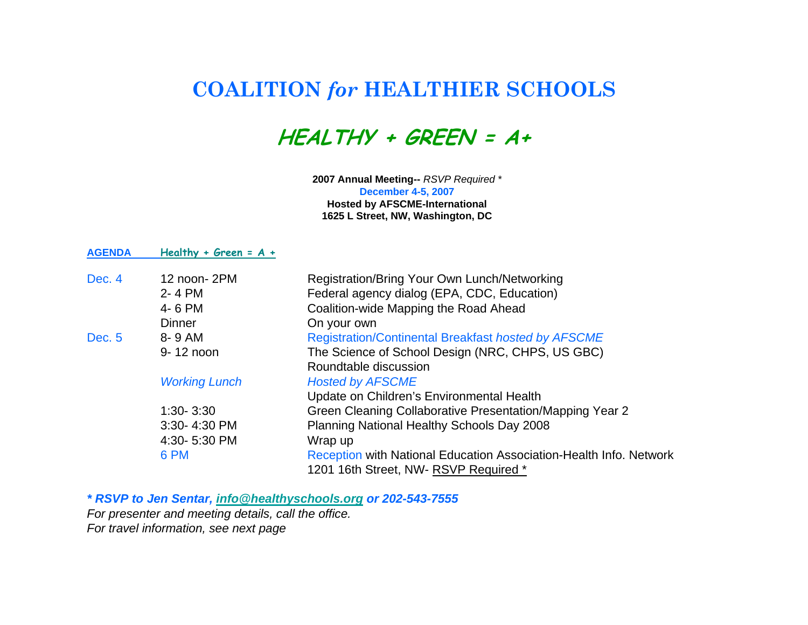## **COALITION** *for* **HEALTHIER SCHOOLS**

**HEALTHY + GREEN = A+**

**2007 Annual Meeting--** *RSVP Required \** **December 4-5, 2007 Hosted by AFSCME-International 1625 L Street, NW, Washington, DC**

| <b>AGENDA</b> | Healthy + Green = $A +$ |                                                                    |
|---------------|-------------------------|--------------------------------------------------------------------|
| Dec. 4        | 12 noon-2PM             | Registration/Bring Your Own Lunch/Networking                       |
|               | 2-4 PM                  | Federal agency dialog (EPA, CDC, Education)                        |
|               | 4-6 PM                  | Coalition-wide Mapping the Road Ahead                              |
|               | <b>Dinner</b>           | On your own                                                        |
| Dec. 5        | 8-9 AM                  | <b>Registration/Continental Breakfast hosted by AFSCME</b>         |
|               | 9-12 noon               | The Science of School Design (NRC, CHPS, US GBC)                   |
|               |                         | Roundtable discussion                                              |
|               | <b>Working Lunch</b>    | <b>Hosted by AFSCME</b>                                            |
|               |                         | Update on Children's Environmental Health                          |
|               | $1:30 - 3:30$           | Green Cleaning Collaborative Presentation/Mapping Year 2           |
|               | 3:30-4:30 PM            | Planning National Healthy Schools Day 2008                         |
|               | 4:30-5:30 PM            | Wrap up                                                            |
|               | 6 PM                    | Reception with National Education Association-Health Info. Network |
|               |                         | 1201 16th Street, NW-RSVP Required *                               |

*\* RSVP to Jen Sentar, info@healthyschools.org or 202-543-7555 For presenter and meeting details, call the office.* 

*For travel information, see next page*